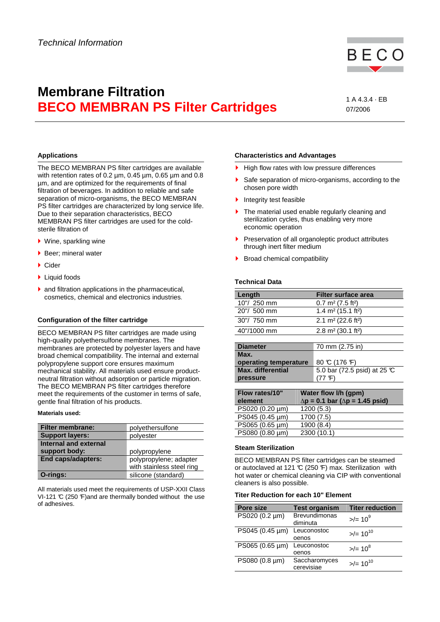

# **Membrane Filtration BECO MEMBRAN PS Filter Cartridges** 1 A 4.3.4 · EB

07/2006

## **Applications**

The BECO MEMBRAN PS filter cartridges are available with retention rates of 0.2 µm, 0.45 µm, 0.65 µm and 0.8 µm, and are optimized for the requirements of final filtration of beverages. In addition to reliable and safe separation of micro-organisms, the BECO MEMBRAN PS filter cartridges are characterized by long service life. Due to their separation characteristics, BECO MEMBRAN PS filter cartridges are used for the coldsterile filtration of

- Wine, sparkling wine
- $\blacktriangleright$  Beer: mineral water
- Cider
- ▶ Liquid foods
- $\blacktriangleright$  and filtration applications in the pharmaceutical, cosmetics, chemical and electronics industries.

## **Configuration of the filter cartridge**

BECO MEMBRAN PS filter cartridges are made using high-quality polyethersulfone membranes. The membranes are protected by polyester layers and have broad chemical compatibility. The internal and external polypropylene support core ensures maximum mechanical stability. All materials used ensure productneutral filtration without adsorption or particle migration. The BECO MEMBRAN PS filter cartridges therefore meet the requirements of the customer in terms of safe, gentle final filtration of his products.

### **Materials used:**

| <b>Filter membrane:</b>   | polyethersulfone          |  |
|---------------------------|---------------------------|--|
| <b>Support layers:</b>    | polyester                 |  |
| Internal and external     |                           |  |
| support body:             | polypropylene             |  |
| <b>End caps/adapters:</b> | polypropylene; adapter    |  |
|                           | with stainless steel ring |  |
| O-rings:                  | silicone (standard)       |  |

All materials used meet the requirements of USP-XXII Class VI-121  $\mathbb C$  (250  $\mathbb F$ ) and are thermally bonded without the use of adhesives.

### **Characteristics and Advantages**

- $\blacktriangleright$  High flow rates with low pressure differences
- Safe separation of micro-organisms, according to the chosen pore width
- Integrity test feasible
- The material used enable regularly cleaning and sterilization cycles, thus enabling very more economic operation
- Preservation of all organoleptic product attributes through inert filter medium
- Broad chemical compatibility

## **Technical Data**

| Length        | Filter surface area                        |
|---------------|--------------------------------------------|
| $10''/250$ mm | $0.7 \text{ m}^2 (7.5 \text{ ft}^2)$       |
| 20"/ 500 mm   | 1.4 m <sup>2</sup> (15.1 ft <sup>2</sup> ) |
| 30"/ 750 mm   | 2.1 m <sup>2</sup> (22.6 ft <sup>2</sup> ) |
| 40"/1000 mm   | 2.8 m <sup>2</sup> (30.1 ft <sup>2</sup> ) |
|               |                                            |

| <b>Diameter</b>          | 70 mm (2.75 in)                        |
|--------------------------|----------------------------------------|
| Max.                     |                                        |
| operating temperature    | 80 °C (176 °F)                         |
| <b>Max.</b> differential | 5.0 bar (72.5 psid) at 25 $\mathbb{C}$ |
| pressure                 |                                        |

| Flow rates/10"<br>element | Water flow I/h (gpm)<br>$\Delta p = 0.1$ bar ( $\Delta p = 1.45$ psid) |
|---------------------------|------------------------------------------------------------------------|
| PS020 (0.20 µm)           | 1200(5.3)                                                              |
| PS045 (0.45 µm)           | 1700 (7.5)                                                             |
| PS065 (0.65 µm)           | 1900 (8.4)                                                             |
| PS080 (0.80 µm)           | 2300 (10.1)                                                            |

### **Steam Sterilization**

BECO MEMBRAN PS filter cartridges can be steamed or autoclaved at 121  $\mathbb{C}$  (250  $\mathbb{F}$ ) max. Sterilization with hot water or chemical cleaning via CIP with conventional cleaners is also possible.

### **Titer Reduction for each 10" Element**

| Pore size       | <b>Test organism</b>             | <b>Titer reduction</b>  |
|-----------------|----------------------------------|-------------------------|
| PS020 (0.2 µm)  | <b>Brevundimonas</b><br>diminuta | $>$ /= 10 <sup>9</sup>  |
| PS045 (0.45 µm) | Leuconostoc<br>oenos             | $>$ /= 10 <sup>10</sup> |
| PS065 (0.65 µm) | Leuconostoc<br>oenos             | $>=/10^8$               |
| PS080 (0.8 µm)  | Saccharomyces<br>cerevisiae      | $>$ /= 10 <sup>10</sup> |